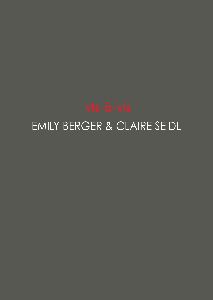

## EMILY BERGER & CLAIRE SEIDL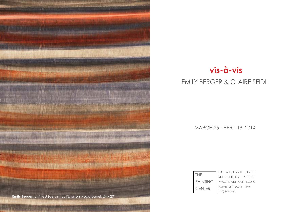

## **vis-à-vis**

## EMILY BERGER & CLAIRE SEIDL

MARCH 25 - APRIL 19, 2014

| THE             | 547 WEST 27TH STREET         |
|-----------------|------------------------------|
|                 | SUITE 500, NY, NY 10001      |
| <b>PAINTING</b> | WWW.THEPAINTINGCENTER.ORG    |
| <b>CENTER</b>   | HOURS: TUES - SAT, 11 - 6 PM |
|                 | (212) 343-1060               |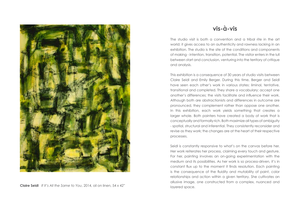

**Claire Seidl** If It's All the Same to You, 2014, oil on linen, 54 x 42"

## **vis-à-vis**

The studio visit is both a convention and a tribal rite in the art world; it gives access to an authenticity and rawness lacking in an exhibition. The studio is the site of the conditions and components of making - intention, transition, potential. The visitor enters in the lull between start and conclusion, venturing into the territory of critique and analysis.

This exhibition is a consequence of 30 years of studio visits between Claire Seidl and Emily Berger. During this time, Berger and Seidl have seen each other's work in various states: liminal, tentative, transitional and completed. They share a vocabulary; accept one another's differences; the visits facilitate and influence their work. Although both are abstractionists and differences in outcome are pronounced, they complement rather than oppose one another. In this exhibition, each work yields something that creates a larger whole. Both painters have created a body of work that is conceptually and formally rich. Both maximize all types of ambiguity - spatial, structural and inferential. They consistently reconsider and revise as they work; the changes are at the heart of their respective processes.

Seidl is constantly responsive to what's on the canvas before her. Her work reiterates her process, claiming every touch and gesture. For her, painting involves an on-going experimentation with the medium and its possibilities. As her work is so process-driven, it's in constant flux up to the moment it finds resolution. Each painting is the consequence of the fluidity and mutability of paint, color relationships and action within a given territory. She cultivates an allusive image, one constructed from a complex, nuanced and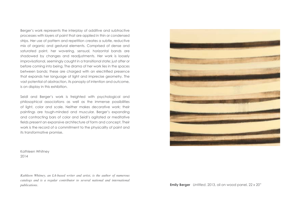Berger's work represents the interplay of additive and subtractive processes with layers of paint that are applied in thin or condensed strips. Her use of pattern and repetition creates a subtle, reductive mix of organic and gestural elements. Comprised of dense and saturated paint, her wavering, sensual, horizontal bands are shadowed by changes and readjustments. Her work is loosely improvisational, seemingly caught in a transitional state; just after or before coming into being. The drama of her work lies in the spaces between bands; these are charged with an electrified presence that expands her language of light and imprecise geometry. The vast potential of abstraction, its panoply of intention and outcome, is on display in this exhibition.

Seidl and Berger's work is freighted with psychological and philosophical associations as well as the immense possibilities of light, color and scale. Neither makes decorative work; their paintings are tough-minded and muscular. Berger's expanding and contracting bars of color and Seidl's agitated or meditative fields present an expansive architecture of form and concept. Their work is the record of a commitment to the physicality of paint and its transformative promise.

Kathleen Whitney 2014

*Kathleen Whitney, an LA-based writer and artist, is the author of numerous catalogs and is a regular contributor to several national and international publications.* **Emily Berger** *Untitled*, 2013, oil on wood panel, 22 x 20"

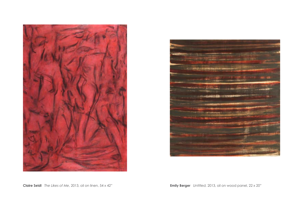



**Claire Seidl** *The Likes of Me*, 2013, oil on linen, 54 x 42" **Emily Berger** *Untitled,* 2013, oil on wood panel, 22 x 20"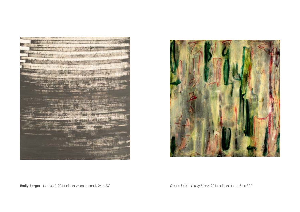

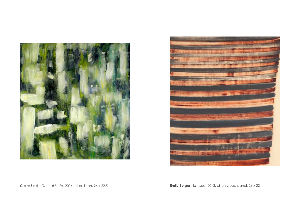



**Claire Seidl** *On that Note*, 2014, oil on linen, 24 x 22.5" **Emily Berger** *Untitled*, 2013, oil on wood panel, 26 x 22"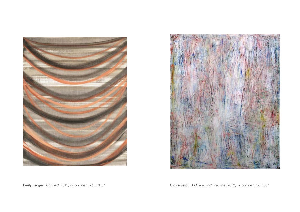



**Emily Berger** *Untitled,* 2013, oil on linen, 26 x 21.5" **Claire Seidl** *As I Live and Breathe*, 2013, oil on linen, 36 x 30"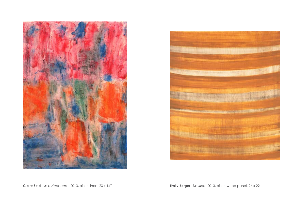



**Claire Seidl** *In a Heartbeat*, 2013, oil on linen, 20 x 14" **Emily Berger** *Untitled,* 2013, oil on wood panel, 26 x 22"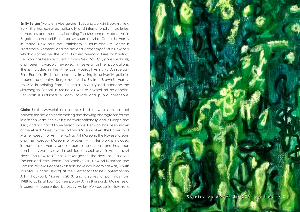**Emily Berger** (www.emilyberger.net) lives and works in Brooklyn, New York. She has exhibited nationally and internationally in galleries, universities and museums, including The Museum of Modern Art in Bogota, the Herbert F. Johnson Museum of Art at Cornell University in Ithaca, New York, the Brattleboro Museum and Art Center in Brattleboro, Vermont, and the National Academy of Art in New York which awarded her the John Hultberg Memorial Prize for Painting. Her work has been featured in many New York City gallery exhibits, and been favorably reviewed in several online publications. She is included in the American Abstract Artists 75 Anniversary Print Portfolio Exhibition, currently traveling to university galleries around the country. Berger received a BA from Brown University, an MFA in painting from Columbia University and attended the Skowhegan School in Maine as well as several art residencies. Her work is included in many private and public collections.

**Claire Seidl** (www.claireseidl.com) is best known as an abstract painter; she has also been making and showing photographs for the last fifteen years. She exhibits her work nationally, and in Europe and Asia; and has had 30 one-person shows. Her work has been shown at the Aldrich Museum, the Portland Museum of Art, the University of Maine Museum of Art, the McNay Art Museum, the Noyes Museum and the Moscow Museum of Modern Art. Her work is included in museum, university and corporate collections; and has been consistently well-reviewed in publications such as Art in America, Art News, The New York Times, Arts Magazine, The New York Observer, The Portland Press Herald, The Brooklyn Rail, New Art Examiner, and Partisan Review. Recent exhibitions have included What Was, Is (with sculptor Duncan Hewitt) at the Center for Maine Contemporary Art in Rockport, Maine in 2013; and a survey of paintings from 1988 to 2012 at Icon Contemporary Art in Brunswick, Maine. Seidl is currently represented by Lesley Heller Workspace in New York.